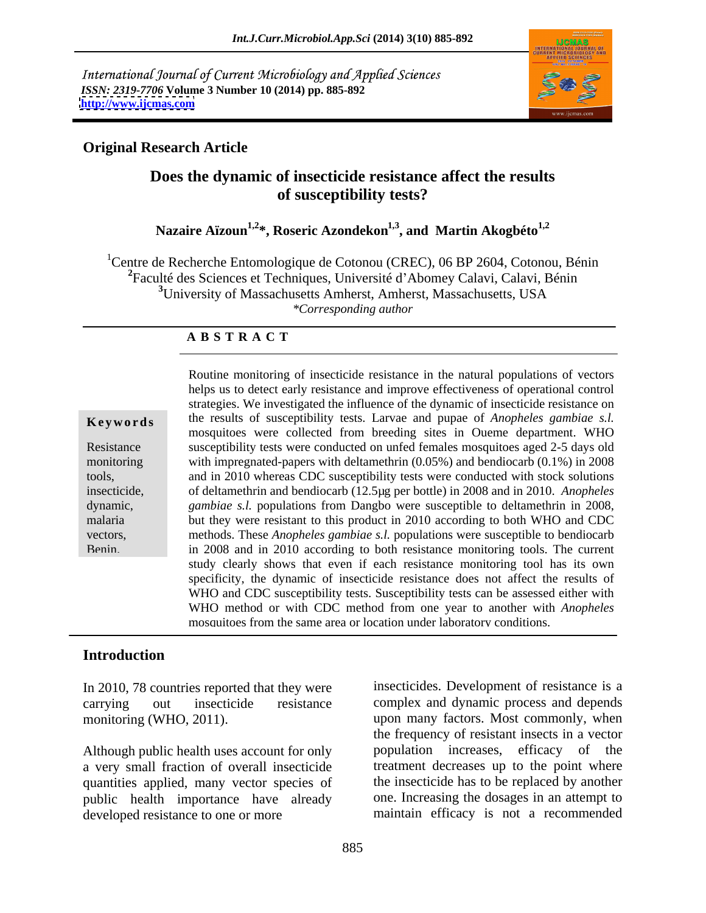International Journal of Current Microbiology and Applied Sciences *ISSN: 2319-7706* **Volume 3 Number 10 (2014) pp. 885-892 <http://www.ijcmas.com>**



### **Original Research Article**

### **Does the dynamic of insecticide resistance affect the results of susceptibility tests?**

### Nazaire Aïzoun<sup>1,2\*</sup>, Roseric Azondekon<sup>1,3</sup>, and Martin Akogbéto<sup>1,2</sup>

<sup>1</sup>Centre de Recherche Entomologique de Cotonou (CREC), 06 BP 2604, Cotonou, Bénin <sup>2</sup>Faculté des Sciences et Techniques, Université d'Abomey Calavi, Calavi, Bénin **<sup>3</sup>**University of Massachusetts Amherst, Amherst, Massachusetts, USA *\*Corresponding author* 

#### **A B S T R A C T**

**Ke ywo rds** the results of susceptibility tests. Larvae and pupae of *Anopheles gambiae s.l.* Resistance susceptibility tests were conducted on unfed females mosquitoes aged 2-5 days old monitoring with impregnated-papers with deltamethrin (0.05%) and bendiocarb (0.1%) in 2008 tools, and in 2010 whereas CDC susceptibility tests were conducted with stock solutions insecticide, of deltamethrin and bendiocarb (12.5µg per bottle) in 2008 and in 2010. *Anopheles*  dynamic, *gambiae s.l.* populations from Dangbo were susceptible to deltamethrin in 2008, malaria but they were resistant to this product in 2010 according to both WHO and CDC vectors, methods. These *Anopheles gambiae s.l.* populations were susceptible to bendiocarb Benin. in 2008 and in 2010 according to both resistance monitoring tools. The current Routine monitoring of insecticide resistance in the natural populations of vectors helps us to detect early resistance and improve effectiveness of operational control strategies. We investigated the influence of the dynamic of insecticide resistance on mosquitoes were collected from breeding sites in Oueme department. WHO study clearly shows that even if each resistance monitoring tool has its own specificity, the dynamic of insecticide resistance does not affect the results of WHO and CDC susceptibility tests. Susceptibility tests can be assessed either with WHO method or with CDC method from one year to another with *Anopheles* mosquitoes from the same area or location under laboratory conditions.

#### **Introduction**

In 2010, 78 countries reported that they were

Although public health uses account for only a very small fraction of overall insecticide quantities applied, many vector species of public health importance have already developed resistance to one or more maintain efficacy is not a recommended

carrying out insecticide resistance complex and dynamic process and depends monitoring (WHO, 2011). upon many factors. Most commonly, when insecticides. Development of resistance is a the frequency of resistant insects in a vector population increases, efficacy of the treatment decreases up to the point where the insecticide has to be replaced by another one. Increasing the dosages in an attempt to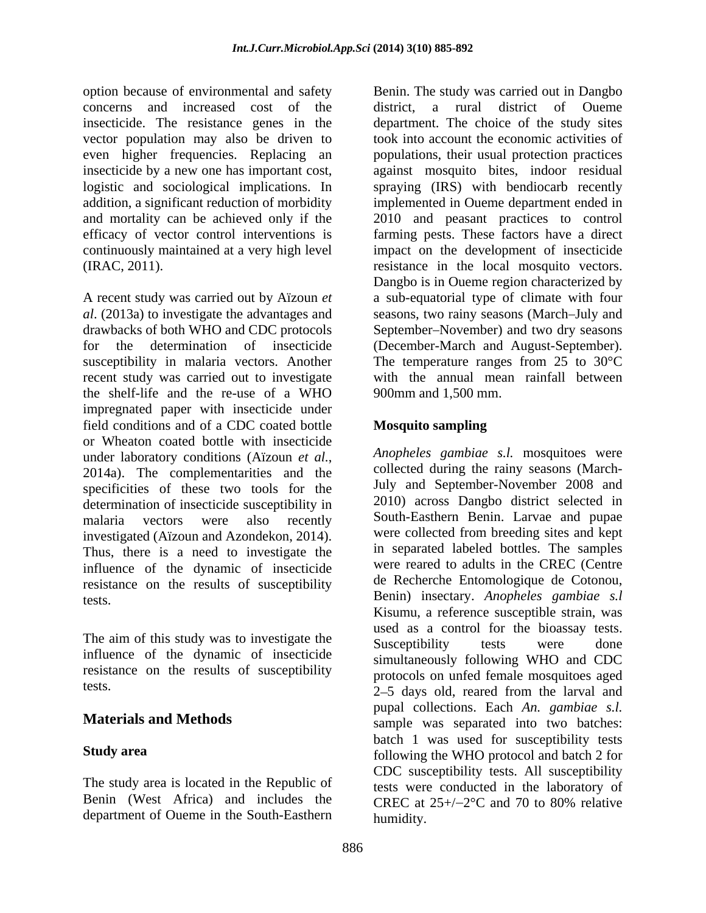concerns and increased cost of the district, a rural district of Oueme

*al*. (2013a) to investigate the advantages and recent study was carried out to investigate impregnated paper with insecticide under field conditions and of a CDC coated bottle or Wheaton coated bottle with insecticide under laboratory conditions (Aïzoun *et al.*, *Anopheles gambiae s.l.* mosquitoes were<br>2014a). The complementarities and the collected during the rainy seasons (Marchspecificities of these two tools for the determination of insecticide susceptibility in malaria vectors were also recently South-Easthern Benin. Larvae and pupae investigated (Aïzoun and Azondekon, 2014). Thus, there is a need to investigate the influence of the dynamic of insecticide resistance on the results of susceptibility tests. Benin) insectary. *Anopheles gambiae s.l*

The aim of this study was to investigate the Susceptibility tests were done influence of the dynamic of insecticide resistance on the results of susceptibility

The study area is located in the Republic of Benin (West Africa) and includes the  $CREC$  at  $25+/-2$ °C and 70 to 80% relative department of Oueme in the South-Easthern

option because of environmental and safety Benin. The study was carried out in Dangbo insecticide. The resistance genes in the department. The choice of the study sites vector population may also be driven to took into account the economic activities of even higher frequencies. Replacing an populations, their usual protection practices insecticide by a new one has important cost, against mosquito bites, indoor residual logistic and sociological implications. In spraying (IRS) with bendiocarb recently addition, a significant reduction of morbidity implemented in Oueme department ended in and mortality can be achieved only if the 2010 and peasant practices to control efficacy of vector control interventions is farming pests. These factors have a direct continuously maintained at a very high level impact on the development of insecticide (IRAC, 2011). resistance in the local mosquito vectors. A recent study was carried out by Aïzoun *et*  a sub-equatorial type of climate with four drawbacks of both WHO and CDC protocols September–November) and two dry seasons for the determination of insecticide (December-March and August-September). susceptibility in malaria vectors. Another The temperature ranges from 25 to 30°C the shelf-life and the re-use of a WHO district, a rural district of Oueme Dangbo is in Oueme region characterized by seasons, two rainy seasons (March–July and with the annual mean rainfall between 900mm and 1,500 mm.

### **Mosquito sampling**

tests.<br>
2–5 days old, reared from the larval and **Materials and Methods** sample was separated into two batches: **Study area** *following the WHO protocol and batch 2 for Anopheles gambiae s.l.* mosquitoes were collected during the rainy seasons (March- July and September-November 2008 and 2010) across Dangbo district selected in were collected from breeding sites and kept in separated labeled bottles. The samples were reared to adults in the CREC (Centre de Recherche Entomologique de Cotonou, Kisumu, a reference susceptible strain, was used as a control for the bioassay tests. Susceptibility tests were done simultaneously following WHO and CDC protocols on unfed female mosquitoes aged pupal collections. Each *An. gambiae s.l.* batch 1 was used for susceptibility tests CDC susceptibility tests. All susceptibility tests were conducted in the laboratory of CREC at  $25+/-2$ °C and 70 to 80% relative humidity.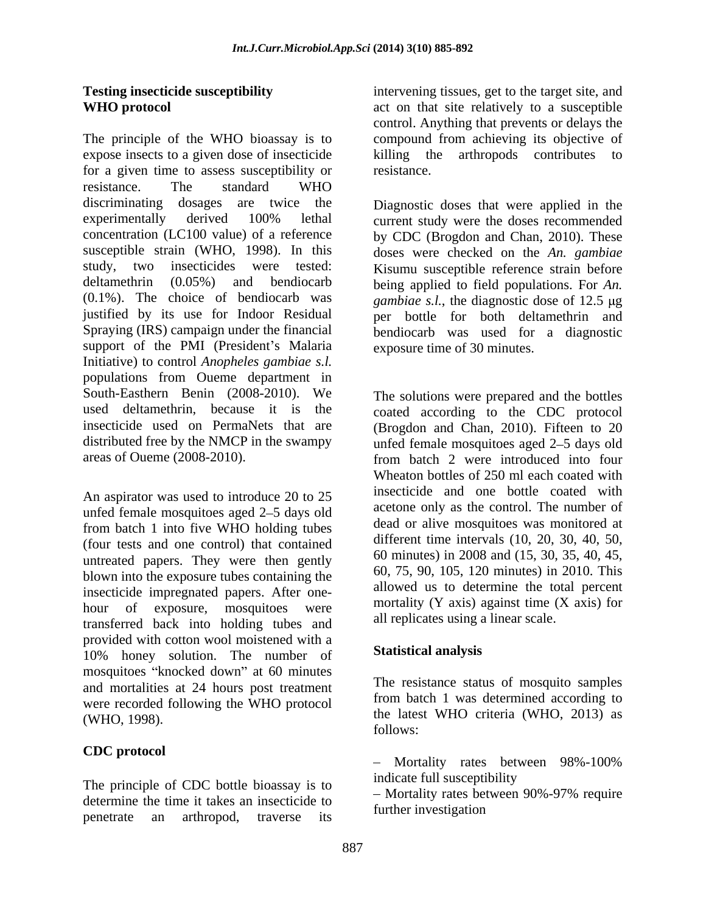The principle of the WHO bioassay is to expose insects to a given dose of insecticide limiting the arthropods contributes to for a given time to assess susceptibility or resistance. resistance. The standard WHO discriminating dosages are twice the Diagnostic doses that were applied in the experimentally derived 100% lethal current study were the doses recommended concentration (LC100 value) of a reference by CDC (Brogdon and Chan, 2010). These susceptible strain (WHO, 1998). In this doses were checked on the *An. gambiae* study, two insecticides were tested: Kisumu susceptible reference strain before deltamethrin (0.05%) and bendiocarb being applied to field populations. For *An.*  (0.1%). The choice of bendiocarb was *gambiae s.l.*, the diagnostic dose of 12.5  $\mu$ g justified by its use for Indoor Residual per bottle for both deltamethrin and Spraying (IRS) campaign under the financial bendiocarb was used for a diagnostic support of the PMI (President's Malaria Initiative) to control *Anopheles gambiae s.l.*populations from Oueme department in South-Easthern Benin (2008-2010). We The solutions were prepared and the bottles used deltamethrin, because it is the coated according to the CDC protocol insecticide used on PermaNets that are (Brogdon and Chan, 2010). Fifteen to 20 distributed free by the NMCP in the swampy unfed female mosquitoes aged 2–5 days old areas of Oueme (2008-2010). Trom hatch 2 were introduced into four

An aspirator was used to introduce 20 to 25 unfed female mosquitoes aged 2–5 days old from batch 1 into five WHO holding tubes (four tests and one control) that contained untreated papers. They were then gently blown into the exposure tubes containing the insecticide impregnated papers. After one hour of exposure, mosquitoes were  $\frac{100 \text{ rad}}{11 \text{ rad/s}}$  (Y axis) against time (X axis) for transferred back into holding tubes and provided with cotton wool moistened with a 10% honey solution. The number of mosquitoes "knocked down" at 60 minutes and mortalities at 24 hours post treatment were recorded following the WHO protocol

## **CDC protocol**

The principle of CDC bottle bioassay is to<br>  $\frac{\text{indicate full susceptibility}}{\text{Mortality rates between 90\% -97\% require}}$ determine the time it takes an insecticide to penetrate an arthropod, traverse its

**Testing insecticide susceptibility** intervening tissues, get to the target site, and **WHO protocol** act on that site relatively to a susceptible control. Anything that prevents or delays the compound from achieving its objective of killing the arthropods contributes to resistance.

exposure time of 30 minutes.

from batch 2 were introduced into four Wheaton bottles of 250 ml each coated with insecticide and one bottle coated with acetone only as the control. The number of dead or alive mosquitoes was monitored at different time intervals (10, 20, 30, 40, 50, 60 minutes) in 2008 and (15, 30, 35, 40, 45, 60, 75, 90, 105, 120 minutes) in 2010. This allowed us to determine the total percent mortality  $(Y \text{ axis})$  against time  $(X \text{ axis})$  for all replicates using a linear scale.

### **Statistical analysis**

 $(WHO, 1998)$ .  $(WHO, 1998)$ The resistance status of mosquito samples from batch 1 was determined according to follows:

> Mortality rates between 98%-100% indicate full susceptibility

Mortality rates between 90%-97% require further investigation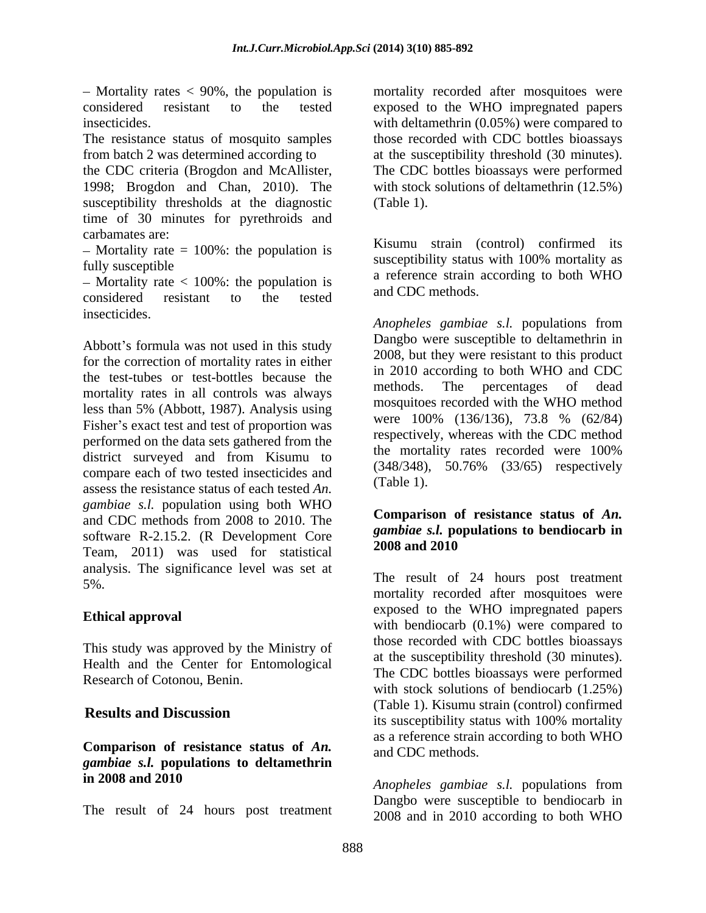considered resistant to the tested exposed to the WHO impregnated papers

the CDC criteria (Brogdon and McAllister, The CDC bottles bioassays were performed 1998; Brogdon and Chan, 2010). The with stock solutions of deltamethrin (12.5%) susceptibility thresholds at the diagnostic (Table 1). time of 30 minutes for pyrethroids and carbamates are:  $\mathbf{r}$ :  $\mathbf{r}$  and  $\mathbf{r}$  and  $\mathbf{r}$  and  $\mathbf{r}$  and  $\mathbf{r}$  and  $\mathbf{r}$  and  $\mathbf{r}$  and  $\mathbf{r}$  and  $\mathbf{r}$  and  $\mathbf{r}$  and  $\mathbf{r}$  and  $\mathbf{r}$  and  $\mathbf{r}$  and  $\mathbf{r}$  and  $\mathbf{r}$  and

 $-$  Mortality rate = 100%: the population is

 $-$  Mortality rate  $<$  100%: the population is considered resistant to the tested and CDC includes. insecticides.

Abbott's formula was not used in this study for the correction of mortality rates in either the test-tubes or test-bottles because the the lin 2010 according to both WHO and CDC<br>methods. The percentages of dead mortality rates in all controls was always less than 5% (Abbott, 1987). Analysis using  $\frac{\text{m}{\text{log}(100\%)} \times \text{m}{\text{log}(136/136)}}{\text{m}{\text{log}(136/136)}, \frac{73.8}{13.8} \times \frac{662}{84}}$ Fisher's exact test and test of proportion was performed on the data sets gathered from the district surveyed and from Kisumu to compare each of two tested insecticides and  $(348/348)$ ,<br>exerce the maintance at two of each tested  $4n$ . (Table 1). assess the resistance status of each tested *An. gambiae s.l.* population using both WHO and CDC methods from 2008 to 2010. The software R-2.15.2. (R Development Core gambia s.t. port Team, 2011) was used for statistical analysis. The significance level was set at

This study was approved by the Ministry of Health and the Center for Entomological Research of Cotonou, Benin.

### **Comparison of resistance status of** *An. gambiae s.l.* **populations to deltamethrin in 2008 and 2010** *Anopheles gambiae s.l.* populations from

The result of 24 hours post treatment

Mortality rates < 90%, the population is mortality recorded after mosquitoes were insecticides. with deltamethrin (0.05%) were compared to The resistance status of mosquito samples those recorded with CDC bottles bioassays from batch 2 was determined according to at the susceptibility threshold (30 minutes). (Table 1).

fully susceptible susceptionity status with 100% mortality as Kisumu strain (control) confirmed its susceptibility status with 100% mortality as a reference strain according to both WHO and CDC methods.

> *Anopheles gambiae s.l.* populations from Dangbo were susceptible to deltamethrin in 2008, but they were resistant to this product in 2010 according to both WHO and CDC methods. The percentages of dead mosquitoes recorded with the WHO method were 100% (136/136), 73.8 % (62/84) respectively, whereas with the CDC method the mortality rates recorded were 100% (348/348), 50.76% (33/65) respectively (Table 1).

#### **Comparison of resistance status of** *An. gambiae s.l.* **populations to bendiocarb in 2008 and 2010**

5%. The result of 24 hours post treatment **Ethical approval**<br>
with bendiocarb (0.1%) were compared to **Results and Discussion**<br>its succeptibility status with 100% mortality mortality recorded after mosquitoes were exposed to the WHO impregnated papers those recorded with CDC bottles bioassays at the susceptibility threshold (30 minutes). The CDC bottles bioassays were performed with stock solutions of bendiocarb (1.25%) (Table 1). Kisumu strain (control) confirmed its susceptibility status with 100% mortality as a reference strain according to both WHO and CDC methods.

> Dangbo were susceptible to bendiocarb in 2008 and in 2010 according to both WHO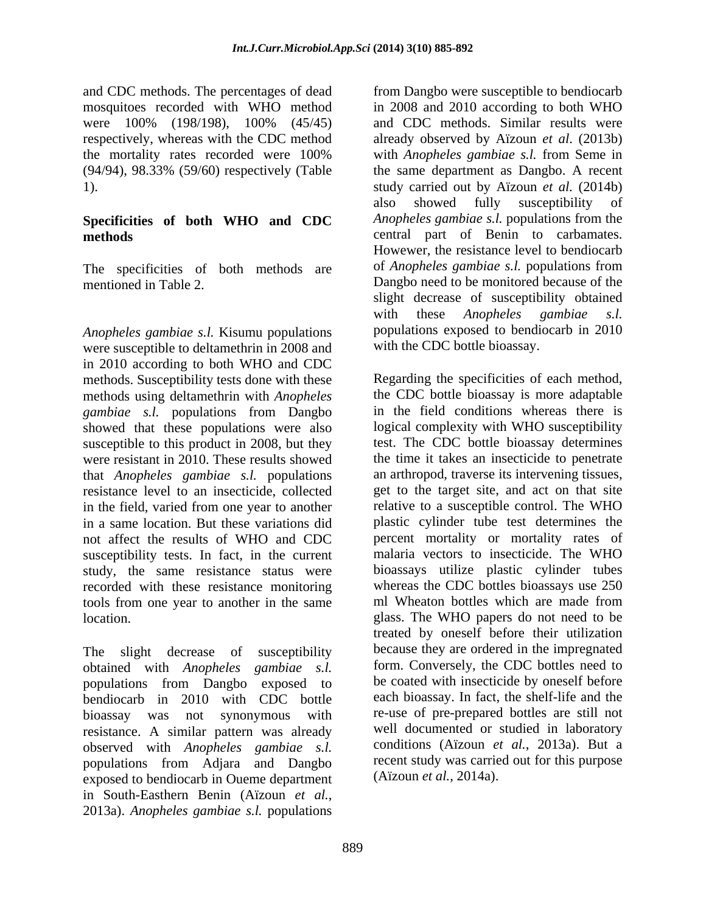and CDC methods. The percentages of dead

# **Specificities of both WHO and CDC**

The specificities of both methods are

*Anopheles gambiae s.l.* Kisumu populations were susceptible to deltamethrin in 2008 and in 2010 according to both WHO and CDC methods. Susceptibility tests done with these methods using deltamethrin with *Anopheles gambiae s.l.* populations from Dangbo showed that these populations were also susceptible to this product in 2008, but they were resistant in 2010. These results showed that *Anopheles gambiae s.l.* populations resistance level to an insecticide, collected in the field, varied from one year to another susceptibility tests. In fact, in the current study, the same resistance status were recorded with these resistance monitoring tools from one year to another in the same

bendiocarb in 2010 with CDC bottle bioassay was not synonymous with resistance. A similar pattern was already exposed to bendiocarb in Oueme department in South-Easthern Benin (Aïzoun *et al.*, 2013a). *Anopheles gambiae s.l.* populations

mosquitoes recorded with WHO method in 2008 and 2010 according to both WHO were 100% (198/198), 100% (45/45) and CDC methods. Similar results were respectively, whereas with the CDC method already observed by Aïzoun *et al*. (2013b) the mortality rates recorded were 100% with *Anopheles gambiae s.l.* from Seme in (94/94), 98.33% (59/60) respectively (Table the same department as Dangbo. A recent 1). study carried out by Aïzoun *et al.* (2014b) **methods**  central part of Benin to carbamates. mentioned in Table 2. Dangbo need to be monitored because of the from Dangbo were susceptible to bendiocarb and CDC methods. Similar results were also showed fully susceptibility of *Anopheles gambiae s.l.* populations from the Howewer, the resistance level to bendiocarb of *Anopheles gambiae s.l.* populations from slight decrease of susceptibility obtained with these *Anopheles gambiae s.l.* populations exposed to bendiocarb in 2010 with the CDC bottle bioassay.

in a same location. But these variations did plastic cylinder tube test determines the not affect the results of WHO and CDC percent mortality or mortality rates of location. glass. The WHO papers do not need to be The slight decrease of susceptibility because they are ordered in the impregnated obtained with *Anopheles gambiae s.l.* form Conversely, the CDC bottles need to populations from Dangbo exposed to be coated with insecticide by oneself before observed with *Anopheles gambiae s.l.* conditions (Aïzoun *et al.*, 2013a). But a<br>populations from Adjara and Dangbo recent study was carried out for this purpose Regarding the specificities of each method, the CDC bottle bioassay is more adaptable in the field conditions whereas there is logical complexity with WHO susceptibility test. The CDC bottle bioassay determines the time it takes an insecticide to penetrate an arthropod, traverse its intervening tissues, get to the target site, and act on that site relative to a susceptible control. The WHO malaria vectors to insecticide. The WHO bioassays utilize plastic cylinder tubes whereas the CDC bottles bioassays use 250 ml Wheaton bottles which are made from treated by oneself before their utilization form. Conversely, the CDC bottles need to be coated with insecticide by oneself before each bioassay. In fact, the shelf-life and the re-use of pre-prepared bottles are still not well documented or studied in laboratory conditions (Aïzoun *et al.*, 2013a). But a recent study was carried out for this purpose (Aïzoun *et al.*, 2014a).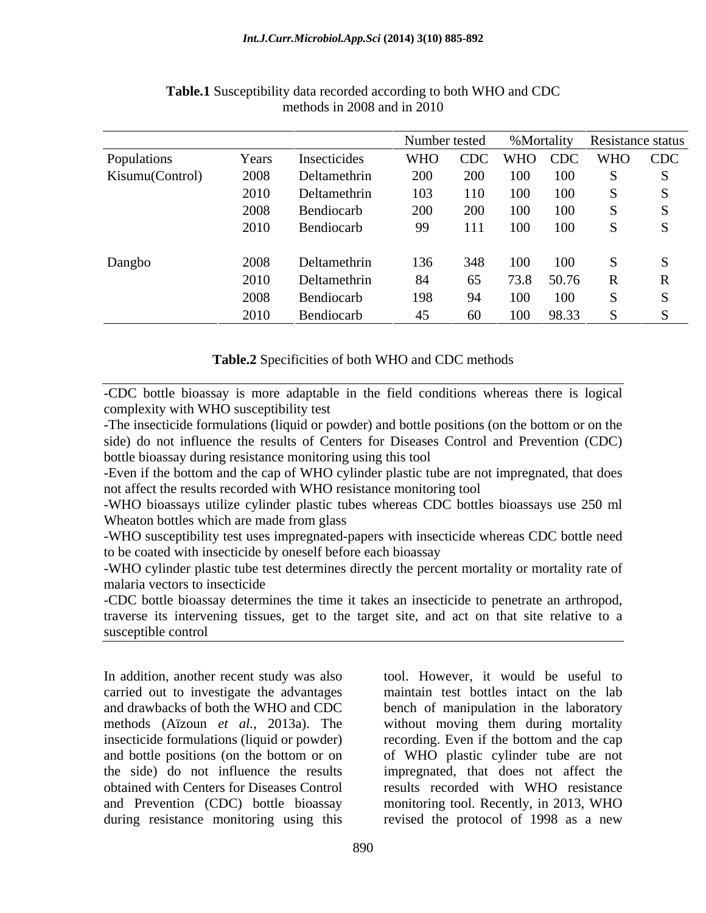|                 |       |                 |                         |     |         |             | Number tested %Mortality Resistance status |
|-----------------|-------|-----------------|-------------------------|-----|---------|-------------|--------------------------------------------|
| Populations     | Years | Insecticides    | WHO CDC WHO CDC WHO CDC |     |         |             |                                            |
| Kisumu(Control) | 2008  | Deltamethrin    | 200                     | 200 | 100 100 |             |                                            |
|                 | 2010  | Deltamethrin    | 103                     | 110 | 100 100 |             |                                            |
|                 | 2008  | Bendiocarb      | 200 200 100 100         |     |         |             |                                            |
|                 |       | 2010 Bendiocarb | 99 111 100 100          |     |         |             | $\sim$ S                                   |
|                 |       |                 |                         |     |         |             |                                            |
| Dangbo          | 2008  | Deltamethrin    | 136                     |     |         | 348 100 100 |                                            |
|                 | 2010  | Deltamethrin    | -84                     | 65  |         | 73.8 50.76  |                                            |
|                 | 2008  | Bendiocarb      | 198                     | 94  |         | 100 100     |                                            |
|                 | 2010  | Bendiocarb      | 45                      | 60  |         | 100 98.33   |                                            |

#### **Table.1** Susceptibility data recorded according to both WHO and CDC methods in 2008 and in 2010

#### **Table.2** Specificities of both WHO and CDC methods

-CDC bottle bioassay is more adaptable in the field conditions whereas there is logical complexity with WHO susceptibility test

-The insecticide formulations (liquid or powder) and bottle positions (on the bottom or on the side) do not influence the results of Centers for Diseases Control and Prevention (CDC) bottle bioassay during resistance monitoring using this tool

-Even if the bottom and the cap of WHO cylinder plastic tube are not impregnated, that does not affect the results recorded with WHO resistance monitoring tool

-WHO bioassays utilize cylinder plastic tubes whereas CDC bottles bioassays use 250 ml Wheaton bottles which are made from glass

-WHO susceptibility test uses impregnated-papers with insecticide whereas CDC bottle need to be coated with insecticide by oneself before each bioassay

-WHO cylinder plastic tube test determines directly the percent mortality or mortality rate of malaria vectors to insecticide

-CDC bottle bioassay determines the time it takes an insecticide to penetrate an arthropod, traverse its intervening tissues, get to the target site, and act on that site relative to a susceptible control

In addition, another recent study was also insecticide formulations (liquid or powder) during resistance monitoring using this revised the protocol of 1998 as a new

carried out to investigate the advantages maintain test bottles intact on the lab and drawbacks of both the WHO and CDC bench of manipulation in the laboratory methods (Aïzoun *et al.*, 2013a). The without moving them during mortality and bottle positions (on the bottom or on of WHO plastic cylinder tube are not the side) do not influence the results impregnated, that does not affect the obtained with Centers for Diseases Control results recorded with WHO resistance and Prevention (CDC) bottle bioassay monitoring tool. Recently, in 2013, WHO tool. However, it would be useful to recording. Even if the bottom and the cap of WHO plastic cylinder tube are not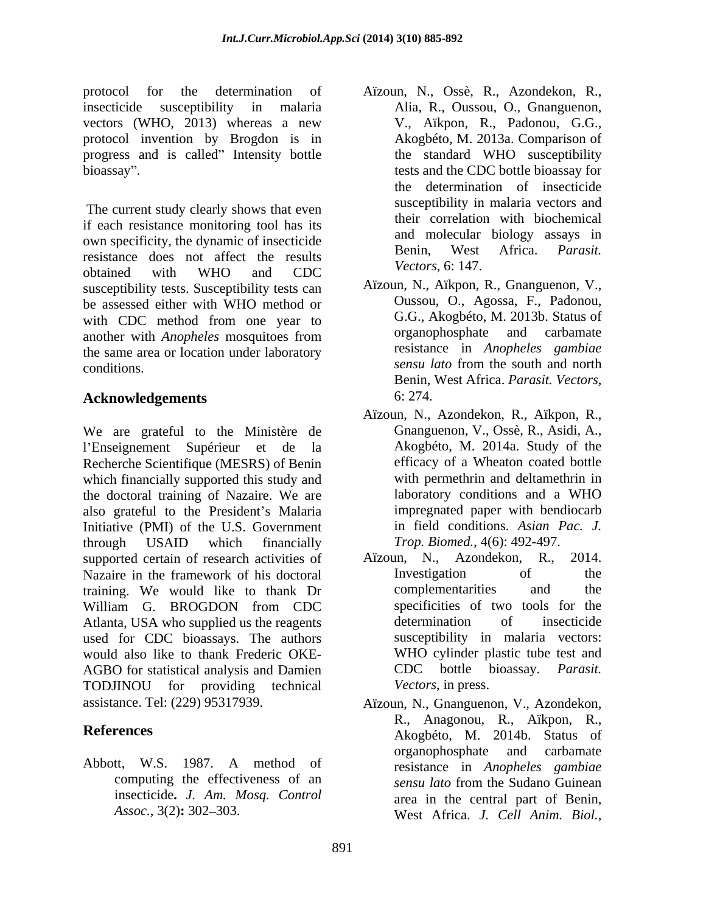protocol for the determination of Aïzoun, N., Ossè, R., Azondekon, R., insecticide susceptibility in malaria Alia, R., Oussou, O., Gnanguenon, vectors (WHO, 2013) whereas a new protocol invention by Brogdon is in progress and is called" Intensity bottle the standard WHO susceptibility bioassay . tests and the CDC bottle bioassay for

 The current study clearly shows that even if each resistance monitoring tool has its own specificity, the dynamic of insecticide<br>Benin, West Africa, Parasit. resistance does not affect the results obtained with WHO and CDC  $^{\text{vec}(U)}$ ,  $^{\text{vec}(U)}$ ,  $^{\text{vec}(U)}$ susceptibility tests. Susceptibility tests can be assessed either with WHO method or with CDC method from one year to G.G., Akogbeto, M. 2013b. Status of another with *Anotheles* mosquitoes from organophosphate and carbamate another with *Anopheles* mosquitoes from the same area or location under laboratory conditions. Sensu late from the south and north

### Acknowledgements 6:274.

We are grateful to the Ministère de Gnanguenon, V., Ossè, R., Asidi, A., l'Enseignement Supérieur et de la Recherche Scientifique (MESRS) of Benin which financially supported this study and<br>the doctoral training of Nazaire. We are<br>laboratory conditions and a WHO the doctoral training of Nazaire. We are also grateful to the President's Malaria Initiative (PMI) of the U.S. Government through USAID which financially  $Trop. \, Biomed.,\,4(6):$  492-497. supported certain of research activities of Aïzoun, N., Azondekon, R., 2014. Nazaire in the framework of his doctoral **Investigation** of the training. We would like to thank Dr William G. BROGDON from CDC specificities of two tools for the Atlanta, USA who supplied us the reagents determination of insecticide used for CDC bioassays. The authors would also like to thank Frederic OKE- AGBO for statistical analysis and Damien CDC bottle bioassay. Parasit. TODJINOU for providing technical *Vectors*, in press.

insecticide**.** *J. Am. Mosq. Control*

- V.,Aïkpon, R., Padonou, G.G., Akogbéto, M. 2013a. Comparison of the standard WHO susceptibility the determination of insecticide susceptibility in malaria vectors and their correlation with biochemical and molecular biology assays in Benin, West Africa. *Parasit. Vectors*, 6: 147.
- Aïzoun, N., Aïkpon, R., Gnanguenon, V., Oussou, O., Agossa, F., Padonou, G.G., Akogbéto, M. 2013b. Status of organophosphate and carbamate resistance in *Anopheles gambiae sensu lato* from the south and north Benin, West Africa. *Parasit. Vectors*,
- Aïzoun, N., Azondekon, R., Aïkpon, R., Akogbéto, M. 2014a. Study of the efficacy of a Wheaton coated bottle with permethrin and deltamethrin in laboratory conditions and a WHO impregnated paper with bendiocarb in field conditions. *Asian Pac. J. Trop. Biomed.*, 4(6): 492-497.
- Aïzoun, N., Azondekon, R., Investigation of the complementarities and the specificities of two tools for the determination of insecticide susceptibility in malaria vectors: WHO cylinder plastic tube test and CDC bottle bioassay. *Parasit. Vectors*, in press.
- assistance. Tel: (229) 95317939. Aïzoun, N., Gnanguenon, V., Azondekon, **References** Akogbéto, M. 2014b. Status of Abbott, W.S. 1987. A method of resistance in Anopheles gambiae computing the effectiveness of an *sensu lato* from the Sudano Guinean *Assoc.*, 3(2)**:** 302 303. West Africa. *J.Cell Anim. Biol.*, R., Anagonou, R., Aïkpon, R., organophosphate and carbamate resistance in *Anopheles gambiae sensu lato* from the Sudano Guinean area in the central part of Benin,